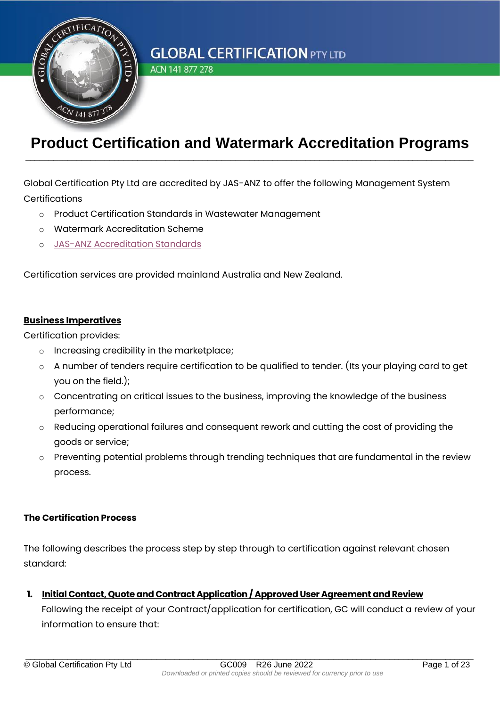

ACN 141 877 278

### **Product Certification and Watermark Accreditation Programs** \_\_\_\_\_\_\_\_\_\_\_\_\_\_\_\_\_\_\_\_\_\_\_\_\_\_\_\_\_\_\_\_\_\_\_\_\_\_\_\_\_\_\_\_\_\_\_\_\_\_\_\_\_\_\_\_\_\_\_\_\_\_\_\_\_\_\_\_\_\_\_\_\_\_\_\_\_\_\_\_\_\_\_\_\_\_\_\_\_\_\_\_\_\_\_\_

Global Certification Pty Ltd are accredited by JAS-ANZ to offer the following Management System **Certifications** 

- o Product Certification Standards in Wastewater Management
- o Watermark Accreditation Scheme
- o [JAS-ANZ Accreditation Standards](https://register.jas-anz.org/accredited-bodies/details/0a41b6ca-c9b3-e411-be4f-005056b24e56)

Certification services are provided mainland Australia and New Zealand.

#### **Business Imperatives**

Certification provides:

- o Increasing credibility in the marketplace;
- $\circ$  A number of tenders require certification to be qualified to tender. (Its your playing card to get you on the field.);
- o Concentrating on critical issues to the business, improving the knowledge of the business performance;
- o Reducing operational failures and consequent rework and cutting the cost of providing the goods or service;
- $\circ$  Preventing potential problems through trending techniques that are fundamental in the review process.

#### **The Certification Process**

The following describes the process step by step through to certification against relevant chosen standard:

**1. Initial Contact, Quote and Contract Application/ Approved User Agreement and Review**

Following the receipt of your Contract/application for certification, GC will conduct a review of your information to ensure that: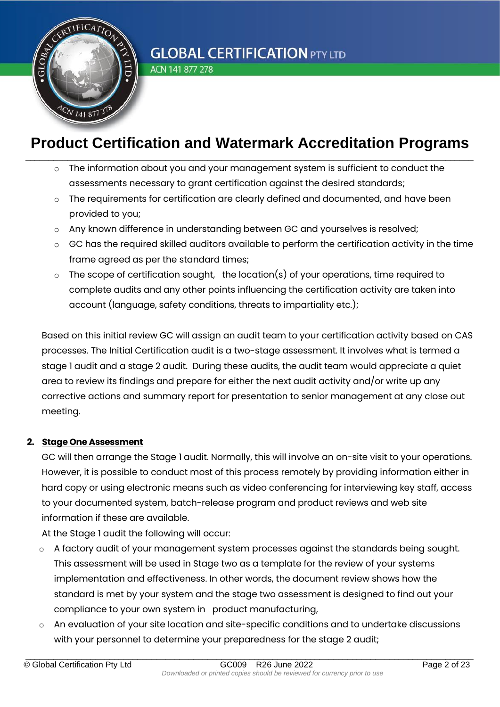

ACN 141 877 278

## **Product Certification and Watermark Accreditation Programs** \_\_\_\_\_\_\_\_\_\_\_\_\_\_\_\_\_\_\_\_\_\_\_\_\_\_\_\_\_\_\_\_\_\_\_\_\_\_\_\_\_\_\_\_\_\_\_\_\_\_\_\_\_\_\_\_\_\_\_\_\_\_\_\_\_\_\_\_\_\_\_\_\_\_\_\_\_\_\_\_\_\_\_\_\_\_\_\_\_\_\_\_\_\_\_\_

- The information about you and your management system is sufficient to conduct the assessments necessary to grant certification against the desired standards;
- $\circ$  The requirements for certification are clearly defined and documented, and have been provided to you;
- $\circ$  Any known difference in understanding between GC and yourselves is resolved;
- o GC has the required skilled auditors available to perform the certification activity in the time frame agreed as per the standard times;
- $\circ$  The scope of certification sought, the location(s) of your operations, time required to complete audits and any other points influencing the certification activity are taken into account (language, safety conditions, threats to impartiality etc.);

Based on this initial review GC will assign an audit team to your certification activity based on CAS processes. The Initial Certification audit is a two-stage assessment. It involves what is termed a stage 1 audit and a stage 2 audit. During these audits, the audit team would appreciate a quiet area to review its findings and prepare for either the next audit activity and/or write up any corrective actions and summary report for presentation to senior management at any close out meeting.

#### **2. Stage One Assessment**

GC will then arrange the Stage 1 audit. Normally, this will involve an on-site visit to your operations. However, it is possible to conduct most of this process remotely by providing information either in hard copy or using electronic means such as video conferencing for interviewing key staff, access to your documented system, batch-release program and product reviews and web site information if these are available.

At the Stage 1 audit the following will occur:

- $\circ$  A factory audit of your management system processes against the standards being sought. This assessment will be used in Stage two as a template for the review of your systems implementation and effectiveness. In other words, the document review shows how the standard is met by your system and the stage two assessment is designed to find out your compliance to your own system in product manufacturing,
- $\circ$  An evaluation of your site location and site-specific conditions and to undertake discussions with your personnel to determine your preparedness for the stage 2 audit;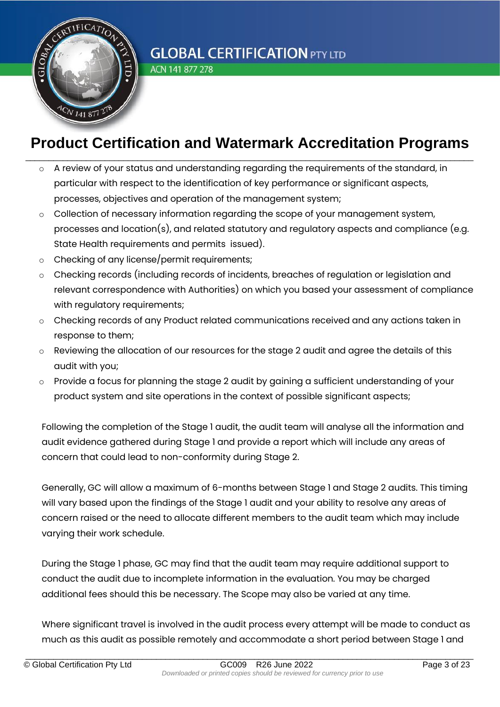

ACN 141 877 278

## **Product Certification and Watermark Accreditation Programs** \_\_\_\_\_\_\_\_\_\_\_\_\_\_\_\_\_\_\_\_\_\_\_\_\_\_\_\_\_\_\_\_\_\_\_\_\_\_\_\_\_\_\_\_\_\_\_\_\_\_\_\_\_\_\_\_\_\_\_\_\_\_\_\_\_\_\_\_\_\_\_\_\_\_\_\_\_\_\_\_\_\_\_\_\_\_\_\_\_\_\_\_\_\_\_\_

- A review of your status and understanding regarding the requirements of the standard, in particular with respect to the identification of key performance or significant aspects, processes, objectives and operation of the management system;
- o Collection of necessary information regarding the scope of your management system, processes and location(s), and related statutory and regulatory aspects and compliance (e.g. State Health requirements and permits issued).
- o Checking of any license/permit requirements;
- o Checking records (including records of incidents, breaches of regulation or legislation and relevant correspondence with Authorities) on which you based your assessment of compliance with regulatory requirements;
- $\circ$  Checking records of any Product related communications received and any actions taken in response to them;
- o Reviewing the allocation of our resources for the stage 2 audit and agree the details of this audit with you;
- o Provide a focus for planning the stage 2 audit by gaining a sufficient understanding of your product system and site operations in the context of possible significant aspects;

Following the completion of the Stage 1 audit, the audit team will analyse all the information and audit evidence gathered during Stage 1 and provide a report which will include any areas of concern that could lead to non-conformity during Stage 2.

Generally, GC will allow a maximum of 6-months between Stage 1 and Stage 2 audits. This timing will vary based upon the findings of the Stage 1 audit and your ability to resolve any areas of concern raised or the need to allocate different members to the audit team which may include varying their work schedule.

During the Stage 1 phase, GC may find that the audit team may require additional support to conduct the audit due to incomplete information in the evaluation. You may be charged additional fees should this be necessary. The Scope may also be varied at any time.

Where significant travel is involved in the audit process every attempt will be made to conduct as much as this audit as possible remotely and accommodate a short period between Stage 1 and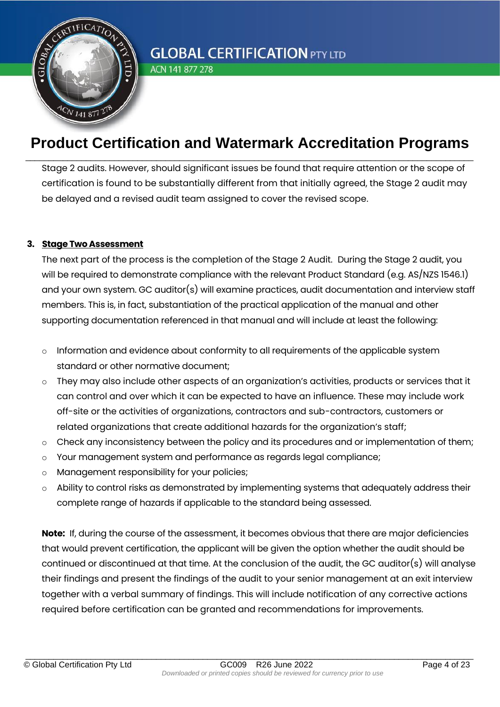

ACN 141 877 278

### **Product Certification and Watermark Accreditation Programs** \_\_\_\_\_\_\_\_\_\_\_\_\_\_\_\_\_\_\_\_\_\_\_\_\_\_\_\_\_\_\_\_\_\_\_\_\_\_\_\_\_\_\_\_\_\_\_\_\_\_\_\_\_\_\_\_\_\_\_\_\_\_\_\_\_\_\_\_\_\_\_\_\_\_\_\_\_\_\_\_\_\_\_\_\_\_\_\_\_\_\_\_\_\_\_\_

Stage 2 audits. However, should significant issues be found that require attention or the scope of certification is found to be substantially different from that initially agreed, the Stage 2 audit may be delayed and a revised audit team assigned to cover the revised scope.

#### **3. Stage Two Assessment**

The next part of the process is the completion of the Stage 2 Audit. During the Stage 2 audit, you will be required to demonstrate compliance with the relevant Product Standard (e.g. AS/NZS 1546.1) and your own system. GC auditor(s) will examine practices, audit documentation and interview staff members. This is, in fact, substantiation of the practical application of the manual and other supporting documentation referenced in that manual and will include at least the following:

- $\circ$  Information and evidence about conformity to all requirements of the applicable system standard or other normative document;
- o They may also include other aspects of an organization's activities, products or services that it can control and over which it can be expected to have an influence. These may include work off-site or the activities of organizations, contractors and sub-contractors, customers or related organizations that create additional hazards for the organization's staff;
- o Check any inconsistency between the policy and its procedures and or implementation of them;
- o Your management system and performance as regards legal compliance;
- o Management responsibility for your policies;
- $\circ$  Ability to control risks as demonstrated by implementing systems that adequately address their complete range of hazards if applicable to the standard being assessed.

**Note:** If, during the course of the assessment, it becomes obvious that there are major deficiencies that would prevent certification, the applicant will be given the option whether the audit should be continued or discontinued at that time. At the conclusion of the audit, the GC auditor(s) will analyse their findings and present the findings of the audit to your senior management at an exit interview together with a verbal summary of findings. This will include notification of any corrective actions required before certification can be granted and recommendations for improvements.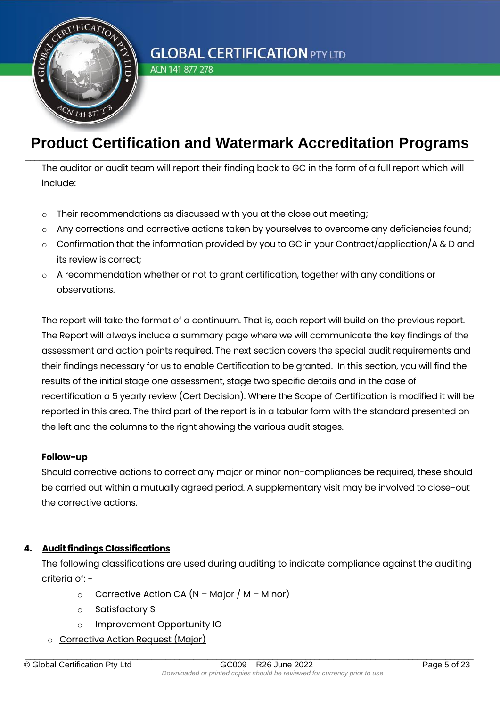

ACN 141 877 278

### **Product Certification and Watermark Accreditation Programs** \_\_\_\_\_\_\_\_\_\_\_\_\_\_\_\_\_\_\_\_\_\_\_\_\_\_\_\_\_\_\_\_\_\_\_\_\_\_\_\_\_\_\_\_\_\_\_\_\_\_\_\_\_\_\_\_\_\_\_\_\_\_\_\_\_\_\_\_\_\_\_\_\_\_\_\_\_\_\_\_\_\_\_\_\_\_\_\_\_\_\_\_\_\_\_\_

The auditor or audit team will report their finding back to GC in the form of a full report which will include:

- o Their recommendations as discussed with you at the close out meeting;
- o Any corrections and corrective actions taken by yourselves to overcome any deficiencies found;
- $\circ$  Confirmation that the information provided by you to GC in your Contract/application/A & D and its review is correct;
- o A recommendation whether or not to grant certification, together with any conditions or observations.

The report will take the format of a continuum. That is, each report will build on the previous report. The Report will always include a summary page where we will communicate the key findings of the assessment and action points required. The next section covers the special audit requirements and their findings necessary for us to enable Certification to be granted. In this section, you will find the results of the initial stage one assessment, stage two specific details and in the case of recertification a 5 yearly review (Cert Decision). Where the Scope of Certification is modified it will be reported in this area. The third part of the report is in a tabular form with the standard presented on the left and the columns to the right showing the various audit stages.

#### **Follow-up**

Should corrective actions to correct any major or minor non-compliances be required, these should be carried out within a mutually agreed period. A supplementary visit may be involved to close-out the corrective actions.

#### **4. Audit findings Classifications**

The following classifications are used during auditing to indicate compliance against the auditing criteria of: -

- $\circ$  Corrective Action CA (N Major / M Minor)
- o Satisfactory S
- o Improvement Opportunity IO
- o Corrective Action Request (Major)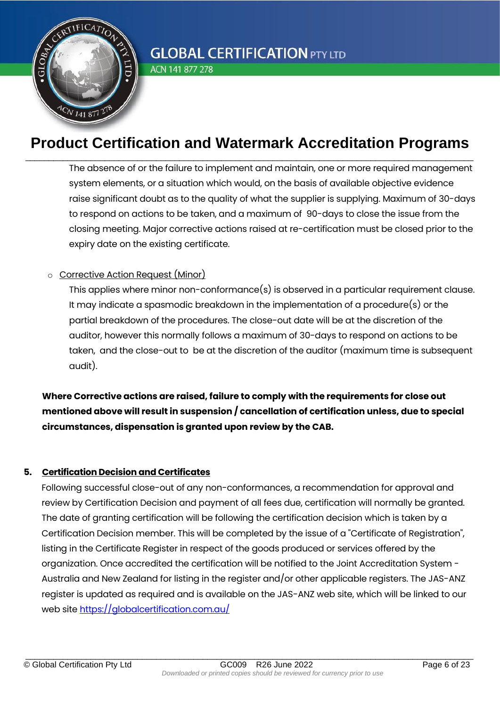

ACN 141 877 278

### **Product Certification and Watermark Accreditation Programs** \_\_\_\_\_\_\_\_\_\_\_\_\_\_\_\_\_\_\_\_\_\_\_\_\_\_\_\_\_\_\_\_\_\_\_\_\_\_\_\_\_\_\_\_\_\_\_\_\_\_\_\_\_\_\_\_\_\_\_\_\_\_\_\_\_\_\_\_\_\_\_\_\_\_\_\_\_\_\_\_\_\_\_\_\_\_\_\_\_\_\_\_\_\_\_\_

The absence of or the failure to implement and maintain, one or more required management system elements, or a situation which would, on the basis of available objective evidence raise significant doubt as to the quality of what the supplier is supplying. Maximum of 30-days to respond on actions to be taken, and a maximum of 90-days to close the issue from the closing meeting. Major corrective actions raised at re-certification must be closed prior to the expiry date on the existing certificate.

#### o Corrective Action Request (Minor)

This applies where minor non-conformance(s) is observed in a particular requirement clause. It may indicate a spasmodic breakdown in the implementation of a procedure(s) or the partial breakdown of the procedures. The close-out date will be at the discretion of the auditor, however this normally follows a maximum of 30-days to respond on actions to be taken, and the close-out to be at the discretion of the auditor (maximum time is subsequent audit).

**Where Corrective actions are raised, failure to comply with the requirements for close out mentioned above will result in suspension / cancellation of certification unless, due to special circumstances, dispensation is granted upon review by the CAB.**

#### **5. Certification Decision and Certificates**

Following successful close-out of any non-conformances, a recommendation for approval and review by Certification Decision and payment of all fees due, certification will normally be granted. The date of granting certification will be following the certification decision which is taken by a Certification Decision member. This will be completed by the issue of a "Certificate of Registration", listing in the Certificate Register in respect of the goods produced or services offered by the organization. Once accredited the certification will be notified to the Joint Accreditation System - Australia and New Zealand for listing in the register and/or other applicable registers. The JAS-ANZ register is updated as required and is available on the JAS-ANZ web site, which will be linked to our web site<https://globalcertification.com.au/>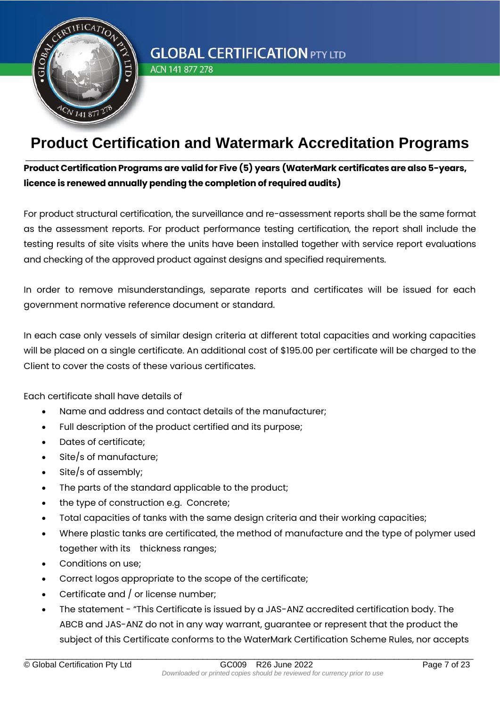

ACN 141 877 278

## **Product Certification and Watermark Accreditation Programs** \_\_\_\_\_\_\_\_\_\_\_\_\_\_\_\_\_\_\_\_\_\_\_\_\_\_\_\_\_\_\_\_\_\_\_\_\_\_\_\_\_\_\_\_\_\_\_\_\_\_\_\_\_\_\_\_\_\_\_\_\_\_\_\_\_\_\_\_\_\_\_\_\_\_\_\_\_\_\_\_\_\_\_\_\_\_\_\_\_\_\_\_\_\_\_\_

### **Product Certification Programs are valid for Five (5) years (WaterMark certificates are also 5-years, licence is renewed annually pending the completion of required audits)**

For product structural certification, the surveillance and re-assessment reports shall be the same format as the assessment reports. For product performance testing certification, the report shall include the testing results of site visits where the units have been installed together with service report evaluations and checking of the approved product against designs and specified requirements.

In order to remove misunderstandings, separate reports and certificates will be issued for each government normative reference document or standard.

In each case only vessels of similar design criteria at different total capacities and working capacities will be placed on a single certificate. An additional cost of \$195.00 per certificate will be charged to the Client to cover the costs of these various certificates.

Each certificate shall have details of

- Name and address and contact details of the manufacturer;
- Full description of the product certified and its purpose;
- Dates of certificate;
- Site/s of manufacture;
- Site/s of assembly;
- The parts of the standard applicable to the product;
- the type of construction e.g. Concrete;
- Total capacities of tanks with the same design criteria and their working capacities;
- Where plastic tanks are certificated, the method of manufacture and the type of polymer used together with its thickness ranges;
- Conditions on use;
- Correct logos appropriate to the scope of the certificate;
- Certificate and / or license number;
- The statement "This Certificate is issued by a JAS-ANZ accredited certification body. The ABCB and JAS-ANZ do not in any way warrant, guarantee or represent that the product the subject of this Certificate conforms to the WaterMark Certification Scheme Rules, nor accepts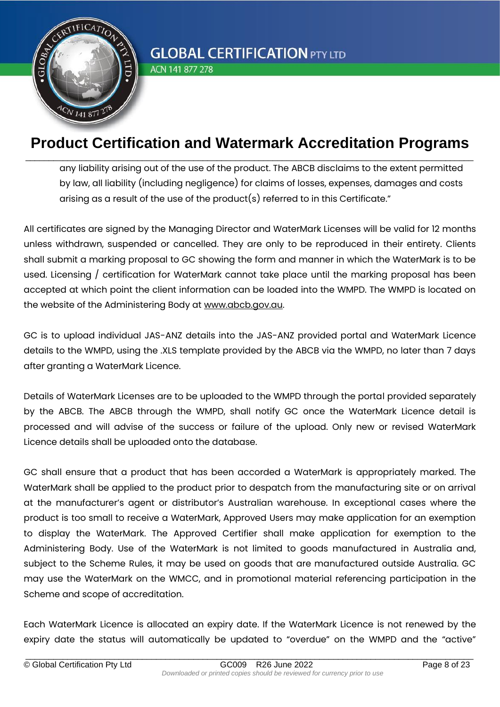

ACN 141 877 278

### **Product Certification and Watermark Accreditation Programs** \_\_\_\_\_\_\_\_\_\_\_\_\_\_\_\_\_\_\_\_\_\_\_\_\_\_\_\_\_\_\_\_\_\_\_\_\_\_\_\_\_\_\_\_\_\_\_\_\_\_\_\_\_\_\_\_\_\_\_\_\_\_\_\_\_\_\_\_\_\_\_\_\_\_\_\_\_\_\_\_\_\_\_\_\_\_\_\_\_\_\_\_\_\_\_\_

any liability arising out of the use of the product. The ABCB disclaims to the extent permitted by law, all liability (including negligence) for claims of losses, expenses, damages and costs arising as a result of the use of the product(s) referred to in this Certificate."

All certificates are signed by the Managing Director and WaterMark Licenses will be valid for 12 months unless withdrawn, suspended or cancelled. They are only to be reproduced in their entirety. Clients shall submit a marking proposal to GC showing the form and manner in which the WaterMark is to be used. Licensing / certification for WaterMark cannot take place until the marking proposal has been accepted at which point the client information can be loaded into the WMPD. The WMPD is located on the website of the Administering Body at [www.abcb.gov.au.](http://www.abcb.gov.au/)

GC is to upload individual JAS-ANZ details into the JAS-ANZ provided portal and WaterMark Licence details to the WMPD, using the .XLS template provided by the ABCB via the WMPD, no later than 7 days after granting a WaterMark Licence.

Details of WaterMark Licenses are to be uploaded to the WMPD through the portal provided separately by the ABCB. The ABCB through the WMPD, shall notify GC once the WaterMark Licence detail is processed and will advise of the success or failure of the upload. Only new or revised WaterMark Licence details shall be uploaded onto the database.

GC shall ensure that a product that has been accorded a WaterMark is appropriately marked. The WaterMark shall be applied to the product prior to despatch from the manufacturing site or on arrival at the manufacturer's agent or distributor's Australian warehouse. In exceptional cases where the product is too small to receive a WaterMark, Approved Users may make application for an exemption to display the WaterMark. The Approved Certifier shall make application for exemption to the Administering Body. Use of the WaterMark is not limited to goods manufactured in Australia and, subject to the Scheme Rules, it may be used on goods that are manufactured outside Australia. GC may use the WaterMark on the WMCC, and in promotional material referencing participation in the Scheme and scope of accreditation.

Each WaterMark Licence is allocated an expiry date. If the WaterMark Licence is not renewed by the expiry date the status will automatically be updated to "overdue" on the WMPD and the "active"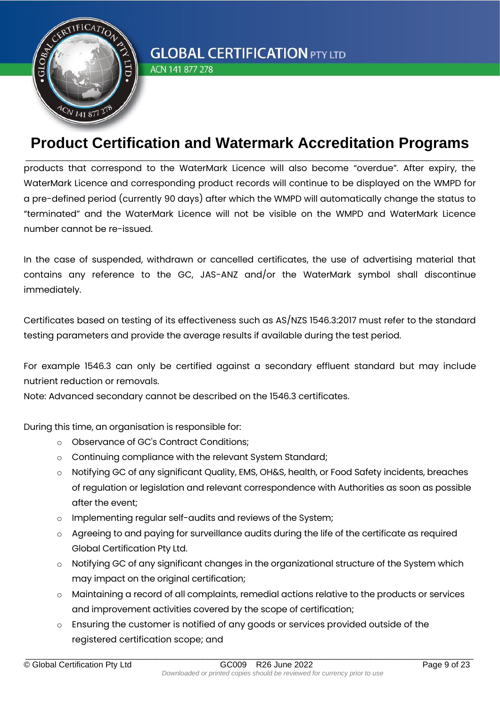

ACN 141 877 278

### **Product Certification and Watermark Accreditation Programs** \_\_\_\_\_\_\_\_\_\_\_\_\_\_\_\_\_\_\_\_\_\_\_\_\_\_\_\_\_\_\_\_\_\_\_\_\_\_\_\_\_\_\_\_\_\_\_\_\_\_\_\_\_\_\_\_\_\_\_\_\_\_\_\_\_\_\_\_\_\_\_\_\_\_\_\_\_\_\_\_\_\_\_\_\_\_\_\_\_\_\_\_\_\_\_\_

products that correspond to the WaterMark Licence will also become "overdue". After expiry, the WaterMark Licence and corresponding product records will continue to be displayed on the WMPD for a pre-defined period (currently 90 days) after which the WMPD will automatically change the status to "terminated" and the WaterMark Licence will not be visible on the WMPD and WaterMark Licence number cannot be re-issued.

In the case of suspended, withdrawn or cancelled certificates, the use of advertising material that contains any reference to the GC, JAS-ANZ and/or the WaterMark symbol shall discontinue immediately.

Certificates based on testing of its effectiveness such as AS/NZS 1546.3:2017 must refer to the standard testing parameters and provide the average results if available during the test period.

For example 1546.3 can only be certified against a secondary effluent standard but may include nutrient reduction or removals.

Note: Advanced secondary cannot be described on the 1546.3 certificates.

During this time, an organisation is responsible for:

- o Observance of GC's Contract Conditions;
- o Continuing compliance with the relevant System Standard;
- o Notifying GC of any significant Quality, EMS, OH&S, health, or Food Safety incidents, breaches of regulation or legislation and relevant correspondence with Authorities as soon as possible after the event;
- o Implementing regular self-audits and reviews of the System;
- o Agreeing to and paying for surveillance audits during the life of the certificate as required Global Certification Pty Ltd.
- $\circ$  Notifying GC of any significant changes in the organizational structure of the System which may impact on the original certification;
- $\circ$  Maintaining a record of all complaints, remedial actions relative to the products or services and improvement activities covered by the scope of certification;
- o Ensuring the customer is notified of any goods or services provided outside of the registered certification scope; and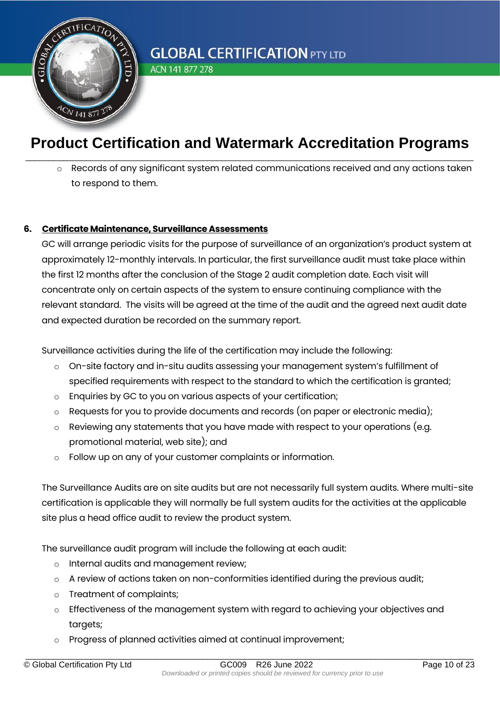

ACN 141 877 278

## **Product Certification and Watermark Accreditation Programs** \_\_\_\_\_\_\_\_\_\_\_\_\_\_\_\_\_\_\_\_\_\_\_\_\_\_\_\_\_\_\_\_\_\_\_\_\_\_\_\_\_\_\_\_\_\_\_\_\_\_\_\_\_\_\_\_\_\_\_\_\_\_\_\_\_\_\_\_\_\_\_\_\_\_\_\_\_\_\_\_\_\_\_\_\_\_\_\_\_\_\_\_\_\_\_\_

Records of any significant system related communications received and any actions taken to respond to them.

#### **6. Certificate Maintenance, Surveillance Assessments**

GC will arrange periodic visits for the purpose of surveillance of an organization's product system at approximately 12-monthly intervals. In particular, the first surveillance audit must take place within the first 12 months after the conclusion of the Stage 2 audit completion date. Each visit will concentrate only on certain aspects of the system to ensure continuing compliance with the relevant standard. The visits will be agreed at the time of the audit and the agreed next audit date and expected duration be recorded on the summary report.

Surveillance activities during the life of the certification may include the following:

- o On-site factory and in-situ audits assessing your management system's fulfillment of specified requirements with respect to the standard to which the certification is granted;
- o Enquiries by GC to you on various aspects of your certification;
- $\circ$  Requests for you to provide documents and records (on paper or electronic media);
- o Reviewing any statements that you have made with respect to your operations (e.g. promotional material, web site); and
- o Follow up on any of your customer complaints or information.

The Surveillance Audits are on site audits but are not necessarily full system audits. Where multi-site certification is applicable they will normally be full system audits for the activities at the applicable site plus a head office audit to review the product system.

The surveillance audit program will include the following at each audit:

- o Internal audits and management review;
- o A review of actions taken on non-conformities identified during the previous audit;
- o Treatment of complaints;
- o Effectiveness of the management system with regard to achieving your objectives and targets;
- o Progress of planned activities aimed at continual improvement;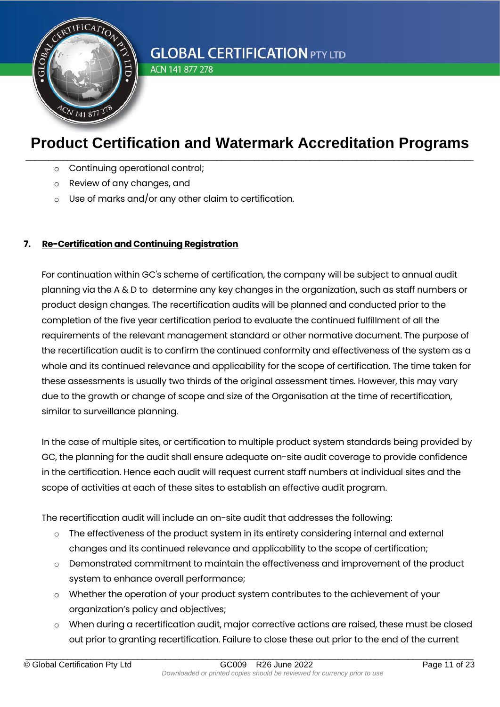

ACN 141 877 278

## **Product Certification and Watermark Accreditation Programs** \_\_\_\_\_\_\_\_\_\_\_\_\_\_\_\_\_\_\_\_\_\_\_\_\_\_\_\_\_\_\_\_\_\_\_\_\_\_\_\_\_\_\_\_\_\_\_\_\_\_\_\_\_\_\_\_\_\_\_\_\_\_\_\_\_\_\_\_\_\_\_\_\_\_\_\_\_\_\_\_\_\_\_\_\_\_\_\_\_\_\_\_\_\_\_\_

- o Continuing operational control;
- o Review of any changes, and
- o Use of marks and/or any other claim to certification.

#### **7. Re-Certification and Continuing Registration**

For continuation within GC's scheme of certification, the company will be subject to annual audit planning via the A & D to determine any key changes in the organization, such as staff numbers or product design changes. The recertification audits will be planned and conducted prior to the completion of the five year certification period to evaluate the continued fulfillment of all the requirements of the relevant management standard or other normative document. The purpose of the recertification audit is to confirm the continued conformity and effectiveness of the system as a whole and its continued relevance and applicability for the scope of certification. The time taken for these assessments is usually two thirds of the original assessment times. However, this may vary due to the growth or change of scope and size of the Organisation at the time of recertification, similar to surveillance planning.

In the case of multiple sites, or certification to multiple product system standards being provided by GC, the planning for the audit shall ensure adequate on-site audit coverage to provide confidence in the certification. Hence each audit will request current staff numbers at individual sites and the scope of activities at each of these sites to establish an effective audit program.

The recertification audit will include an on-site audit that addresses the following:

- $\circ$  The effectiveness of the product system in its entirety considering internal and external changes and its continued relevance and applicability to the scope of certification;
- $\circ$  Demonstrated commitment to maintain the effectiveness and improvement of the product system to enhance overall performance;
- o Whether the operation of your product system contributes to the achievement of your organization's policy and objectives;
- o When during a recertification audit, major corrective actions are raised, these must be closed out prior to granting recertification. Failure to close these out prior to the end of the current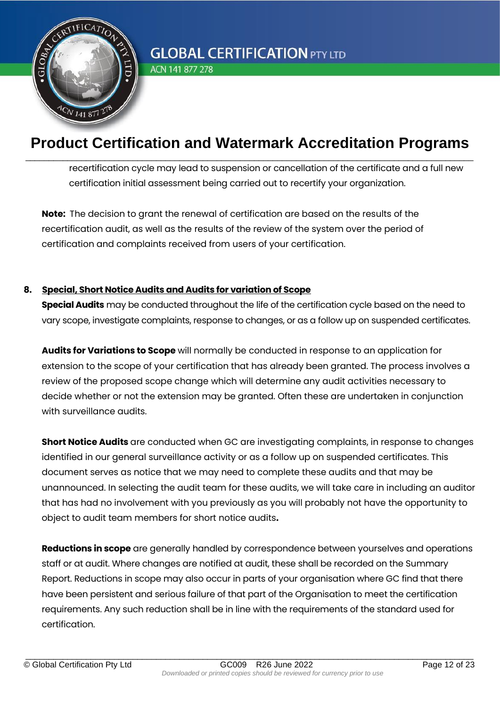

ACN 141 877 278

## **Product Certification and Watermark Accreditation Programs** \_\_\_\_\_\_\_\_\_\_\_\_\_\_\_\_\_\_\_\_\_\_\_\_\_\_\_\_\_\_\_\_\_\_\_\_\_\_\_\_\_\_\_\_\_\_\_\_\_\_\_\_\_\_\_\_\_\_\_\_\_\_\_\_\_\_\_\_\_\_\_\_\_\_\_\_\_\_\_\_\_\_\_\_\_\_\_\_\_\_\_\_\_\_\_\_

recertification cycle may lead to suspension or cancellation of the certificate and a full new certification initial assessment being carried out to recertify your organization.

**Note:** The decision to grant the renewal of certification are based on the results of the recertification audit, as well as the results of the review of the system over the period of certification and complaints received from users of your certification.

#### **8. Special, Short Notice Audits and Audits for variation of Scope**

**Special Audits** may be conducted throughout the life of the certification cycle based on the need to vary scope, investigate complaints, response to changes, or as a follow up on suspended certificates.

**Audits for Variations to Scope** will normally be conducted in response to an application for extension to the scope of your certification that has already been granted. The process involves a review of the proposed scope change which will determine any audit activities necessary to decide whether or not the extension may be granted. Often these are undertaken in conjunction with surveillance audits.

**Short Notice Audits** are conducted when GC are investigating complaints, in response to changes identified in our general surveillance activity or as a follow up on suspended certificates. This document serves as notice that we may need to complete these audits and that may be unannounced. In selecting the audit team for these audits, we will take care in including an auditor that has had no involvement with you previously as you will probably not have the opportunity to object to audit team members for short notice audits**.** 

**Reductions in scope** are generally handled by correspondence between yourselves and operations staff or at audit. Where changes are notified at audit, these shall be recorded on the Summary Report. Reductions in scope may also occur in parts of your organisation where GC find that there have been persistent and serious failure of that part of the Organisation to meet the certification requirements. Any such reduction shall be in line with the requirements of the standard used for certification.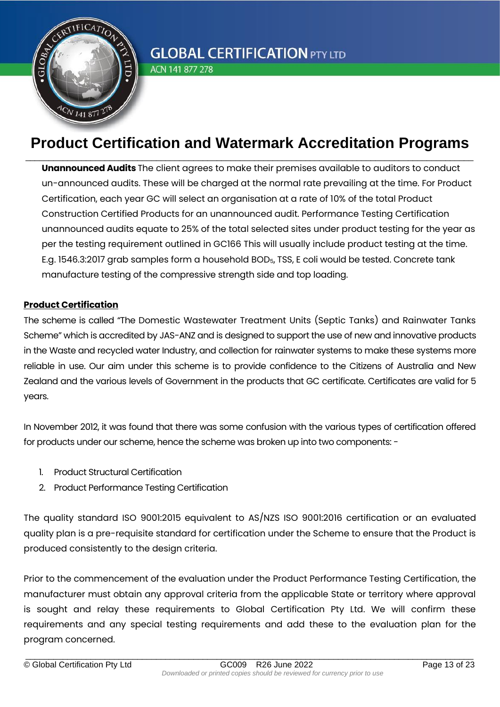

ACN 141 877 278

## **Product Certification and Watermark Accreditation Programs** \_\_\_\_\_\_\_\_\_\_\_\_\_\_\_\_\_\_\_\_\_\_\_\_\_\_\_\_\_\_\_\_\_\_\_\_\_\_\_\_\_\_\_\_\_\_\_\_\_\_\_\_\_\_\_\_\_\_\_\_\_\_\_\_\_\_\_\_\_\_\_\_\_\_\_\_\_\_\_\_\_\_\_\_\_\_\_\_\_\_\_\_\_\_\_\_

**Unannounced Audits** The client agrees to make their premises available to auditors to conduct un-announced audits. These will be charged at the normal rate prevailing at the time. For Product Certification, each year GC will select an organisation at a rate of 10% of the total Product Construction Certified Products for an unannounced audit. Performance Testing Certification unannounced audits equate to 25% of the total selected sites under product testing for the year as per the testing requirement outlined in GC166 This will usually include product testing at the time. E.g. 1546.3:2017 grab samples form a household BOD5, TSS, E coli would be tested. Concrete tank manufacture testing of the compressive strength side and top loading.

#### **Product Certification**

The scheme is called "The Domestic Wastewater Treatment Units (Septic Tanks) and Rainwater Tanks Scheme" which is accredited by JAS-ANZ and is designed to support the use of new and innovative products in the Waste and recycled water Industry, and collection for rainwater systems to make these systems more reliable in use. Our aim under this scheme is to provide confidence to the Citizens of Australia and New Zealand and the various levels of Government in the products that GC certificate. Certificates are valid for 5 years.

In November 2012, it was found that there was some confusion with the various types of certification offered for products under our scheme, hence the scheme was broken up into two components: -

- 1. Product Structural Certification
- 2. Product Performance Testing Certification

The quality standard ISO 9001:2015 equivalent to AS/NZS ISO 9001:2016 certification or an evaluated quality plan is a pre-requisite standard for certification under the Scheme to ensure that the Product is produced consistently to the design criteria.

Prior to the commencement of the evaluation under the Product Performance Testing Certification, the manufacturer must obtain any approval criteria from the applicable State or territory where approval is sought and relay these requirements to Global Certification Pty Ltd. We will confirm these requirements and any special testing requirements and add these to the evaluation plan for the program concerned.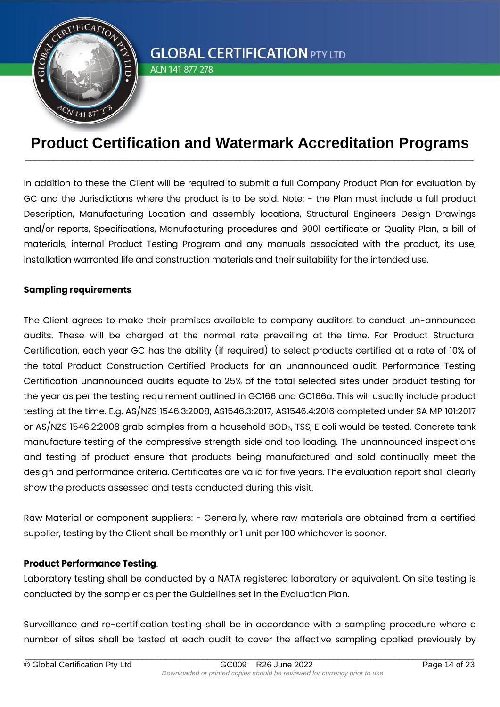

ACN 141 877 278

### **Product Certification and Watermark Accreditation Programs** \_\_\_\_\_\_\_\_\_\_\_\_\_\_\_\_\_\_\_\_\_\_\_\_\_\_\_\_\_\_\_\_\_\_\_\_\_\_\_\_\_\_\_\_\_\_\_\_\_\_\_\_\_\_\_\_\_\_\_\_\_\_\_\_\_\_\_\_\_\_\_\_\_\_\_\_\_\_\_\_\_\_\_\_\_\_\_\_\_\_\_\_\_\_\_\_

In addition to these the Client will be required to submit a full Company Product Plan for evaluation by GC and the Jurisdictions where the product is to be sold. Note: - the Plan must include a full product Description, Manufacturing Location and assembly locations, Structural Engineers Design Drawings and/or reports, Specifications, Manufacturing procedures and 9001 certificate or Quality Plan, a bill of materials, internal Product Testing Program and any manuals associated with the product, its use, installation warranted life and construction materials and their suitability for the intended use.

#### **Sampling requirements**

The Client agrees to make their premises available to company auditors to conduct un-announced audits. These will be charged at the normal rate prevailing at the time. For Product Structural Certification, each year GC has the ability (if required) to select products certified at a rate of 10% of the total Product Construction Certified Products for an unannounced audit. Performance Testing Certification unannounced audits equate to 25% of the total selected sites under product testing for the year as per the testing requirement outlined in GC166 and GC166a. This will usually include product testing at the time. E.g. AS/NZS 1546.3:2008, AS1546.3:2017, AS1546.4:2016 completed under SA MP 101:2017 or AS/NZS 1546.2:2008 grab samples from a household BOD<sub>5</sub>, TSS, E coli would be tested. Concrete tank manufacture testing of the compressive strength side and top loading. The unannounced inspections and testing of product ensure that products being manufactured and sold continually meet the design and performance criteria. Certificates are valid for five years. The evaluation report shall clearly show the products assessed and tests conducted during this visit.

Raw Material or component suppliers: - Generally, where raw materials are obtained from a certified supplier, testing by the Client shall be monthly or 1 unit per 100 whichever is sooner.

#### **Product Performance Testing**.

Laboratory testing shall be conducted by a NATA registered laboratory or equivalent. On site testing is conducted by the sampler as per the Guidelines set in the Evaluation Plan.

Surveillance and re-certification testing shall be in accordance with a sampling procedure where a number of sites shall be tested at each audit to cover the effective sampling applied previously by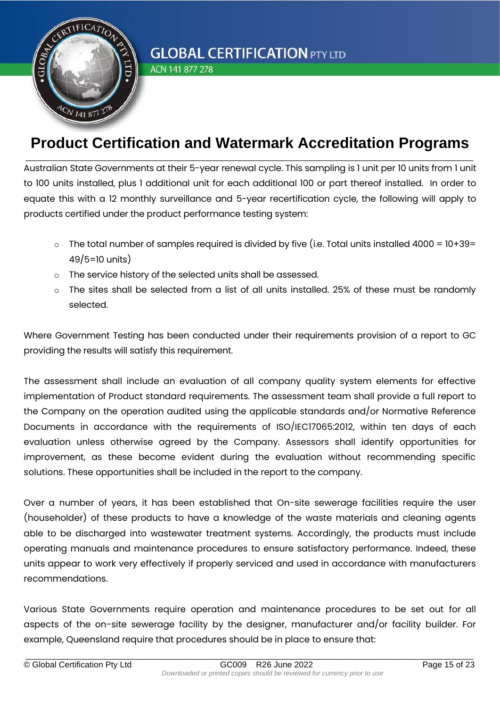

ACN 141 877 278

### **Product Certification and Watermark Accreditation Programs** \_\_\_\_\_\_\_\_\_\_\_\_\_\_\_\_\_\_\_\_\_\_\_\_\_\_\_\_\_\_\_\_\_\_\_\_\_\_\_\_\_\_\_\_\_\_\_\_\_\_\_\_\_\_\_\_\_\_\_\_\_\_\_\_\_\_\_\_\_\_\_\_\_\_\_\_\_\_\_\_\_\_\_\_\_\_\_\_\_\_\_\_\_\_\_\_

Australian State Governments at their 5-year renewal cycle. This sampling is 1 unit per 10 units from 1 unit to 100 units installed, plus 1 additional unit for each additional 100 or part thereof installed. In order to equate this with a 12 monthly surveillance and 5-year recertification cycle, the following will apply to products certified under the product performance testing system:

- $\circ$  The total number of samples required is divided by five (i.e. Total units installed 4000 = 10+39= 49/5=10 units)
- o The service history of the selected units shall be assessed.
- The sites shall be selected from a list of all units installed. 25% of these must be randomly selected.

Where Government Testing has been conducted under their requirements provision of a report to GC providing the results will satisfy this requirement.

The assessment shall include an evaluation of all company quality system elements for effective implementation of Product standard requirements. The assessment team shall provide a full report to the Company on the operation audited using the applicable standards and/or Normative Reference Documents in accordance with the requirements of ISO/IEC17065:2012, within ten days of each evaluation unless otherwise agreed by the Company. Assessors shall identify opportunities for improvement, as these become evident during the evaluation without recommending specific solutions. These opportunities shall be included in the report to the company.

Over a number of years, it has been established that On-site sewerage facilities require the user (householder) of these products to have a knowledge of the waste materials and cleaning agents able to be discharged into wastewater treatment systems. Accordingly, the products must include operating manuals and maintenance procedures to ensure satisfactory performance. Indeed, these units appear to work very effectively if properly serviced and used in accordance with manufacturers recommendations.

Various State Governments require operation and maintenance procedures to be set out for all aspects of the on-site sewerage facility by the designer, manufacturer and/or facility builder. For example, Queensland require that procedures should be in place to ensure that: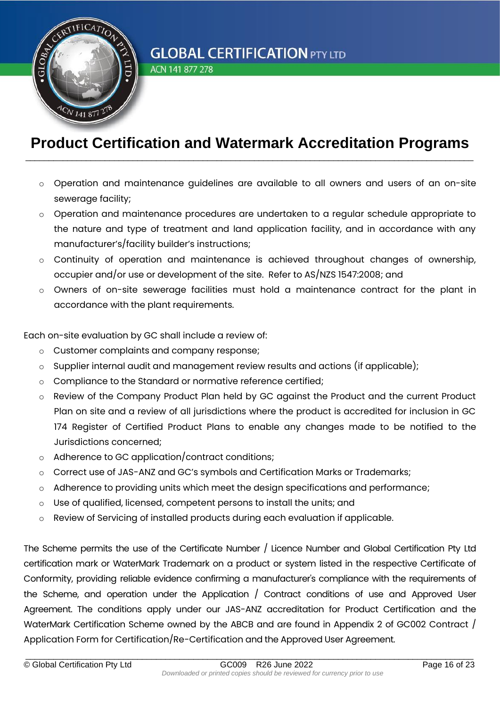

ACN 141 877 278

### **Product Certification and Watermark Accreditation Programs** \_\_\_\_\_\_\_\_\_\_\_\_\_\_\_\_\_\_\_\_\_\_\_\_\_\_\_\_\_\_\_\_\_\_\_\_\_\_\_\_\_\_\_\_\_\_\_\_\_\_\_\_\_\_\_\_\_\_\_\_\_\_\_\_\_\_\_\_\_\_\_\_\_\_\_\_\_\_\_\_\_\_\_\_\_\_\_\_\_\_\_\_\_\_\_\_

- $\circ$  Operation and maintenance auidelines are available to all owners and users of an on-site sewerage facility;
- Operation and maintenance procedures are undertaken to a regular schedule appropriate to the nature and type of treatment and land application facility, and in accordance with any manufacturer's/facility builder's instructions;
- o Continuity of operation and maintenance is achieved throughout changes of ownership, occupier and/or use or development of the site. Refer to AS/NZS 1547:2008; and
- o Owners of on-site sewerage facilities must hold a maintenance contract for the plant in accordance with the plant requirements.

Each on-site evaluation by GC shall include a review of:

- o Customer complaints and company response;
- o Supplier internal audit and management review results and actions (if applicable);
- o Compliance to the Standard or normative reference certified;
- o Review of the Company Product Plan held by GC against the Product and the current Product Plan on site and a review of all jurisdictions where the product is accredited for inclusion in GC 174 Register of Certified Product Plans to enable any changes made to be notified to the Jurisdictions concerned;
- o Adherence to GC application/contract conditions;
- o Correct use of JAS-ANZ and GC's symbols and Certification Marks or Trademarks;
- $\circ$  Adherence to providing units which meet the design specifications and performance;
- o Use of qualified, licensed, competent persons to install the units; and
- o Review of Servicing of installed products during each evaluation if applicable.

The Scheme permits the use of the Certificate Number / Licence Number and Global Certification Pty Ltd certification mark or WaterMark Trademark on a product or system listed in the respective Certificate of Conformity, providing reliable evidence confirming a manufacturer's compliance with the requirements of the Scheme, and operation under the Application / Contract conditions of use and Approved User Agreement. The conditions apply under our JAS-ANZ accreditation for Product Certification and the WaterMark Certification Scheme owned by the ABCB and are found in Appendix 2 of GC002 Contract / Application Form for Certification/Re-Certification and the Approved User Agreement.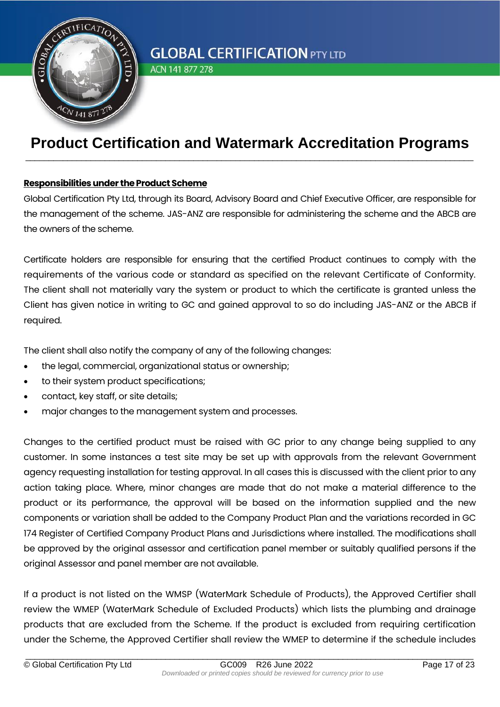

ACN 141 877 278

## **Product Certification and Watermark Accreditation Programs** \_\_\_\_\_\_\_\_\_\_\_\_\_\_\_\_\_\_\_\_\_\_\_\_\_\_\_\_\_\_\_\_\_\_\_\_\_\_\_\_\_\_\_\_\_\_\_\_\_\_\_\_\_\_\_\_\_\_\_\_\_\_\_\_\_\_\_\_\_\_\_\_\_\_\_\_\_\_\_\_\_\_\_\_\_\_\_\_\_\_\_\_\_\_\_\_

#### **Responsibilities under the Product Scheme**

Global Certification Pty Ltd, through its Board, Advisory Board and Chief Executive Officer, are responsible for the management of the scheme. JAS-ANZ are responsible for administering the scheme and the ABCB are the owners of the scheme.

Certificate holders are responsible for ensuring that the certified Product continues to comply with the requirements of the various code or standard as specified on the relevant Certificate of Conformity. The client shall not materially vary the system or product to which the certificate is granted unless the Client has given notice in writing to GC and gained approval to so do including JAS-ANZ or the ABCB if required.

The client shall also notify the company of any of the following changes:

- the legal, commercial, organizational status or ownership;
- to their system product specifications;
- contact, key staff, or site details;
- major changes to the management system and processes.

Changes to the certified product must be raised with GC prior to any change being supplied to any customer. In some instances a test site may be set up with approvals from the relevant Government agency requesting installation for testing approval. In all cases this is discussed with the client prior to any action taking place. Where, minor changes are made that do not make a material difference to the product or its performance, the approval will be based on the information supplied and the new components or variation shall be added to the Company Product Plan and the variations recorded in GC 174 Register of Certified Company Product Plans and Jurisdictions where installed. The modifications shall be approved by the original assessor and certification panel member or suitably qualified persons if the original Assessor and panel member are not available.

If a product is not listed on the WMSP (WaterMark Schedule of Products), the Approved Certifier shall review the WMEP (WaterMark Schedule of Excluded Products) which lists the plumbing and drainage products that are excluded from the Scheme. If the product is excluded from requiring certification under the Scheme, the Approved Certifier shall review the WMEP to determine if the schedule includes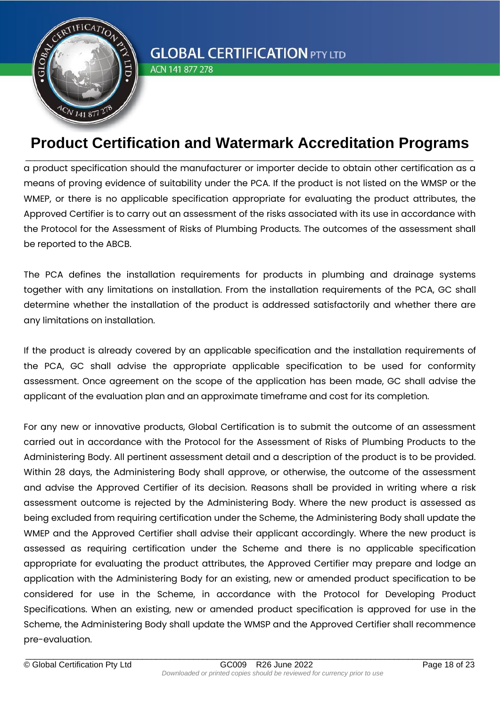

ACN 141 877 278

### **Product Certification and Watermark Accreditation Programs** \_\_\_\_\_\_\_\_\_\_\_\_\_\_\_\_\_\_\_\_\_\_\_\_\_\_\_\_\_\_\_\_\_\_\_\_\_\_\_\_\_\_\_\_\_\_\_\_\_\_\_\_\_\_\_\_\_\_\_\_\_\_\_\_\_\_\_\_\_\_\_\_\_\_\_\_\_\_\_\_\_\_\_\_\_\_\_\_\_\_\_\_\_\_\_\_

a product specification should the manufacturer or importer decide to obtain other certification as a means of proving evidence of suitability under the PCA. If the product is not listed on the WMSP or the WMEP, or there is no applicable specification appropriate for evaluating the product attributes, the Approved Certifier is to carry out an assessment of the risks associated with its use in accordance with the Protocol for the Assessment of Risks of Plumbing Products. The outcomes of the assessment shall be reported to the ABCB.

The PCA defines the installation requirements for products in plumbing and drainage systems together with any limitations on installation. From the installation requirements of the PCA, GC shall determine whether the installation of the product is addressed satisfactorily and whether there are any limitations on installation.

If the product is already covered by an applicable specification and the installation requirements of the PCA, GC shall advise the appropriate applicable specification to be used for conformity assessment. Once agreement on the scope of the application has been made, GC shall advise the applicant of the evaluation plan and an approximate timeframe and cost for its completion.

For any new or innovative products, Global Certification is to submit the outcome of an assessment carried out in accordance with the Protocol for the Assessment of Risks of Plumbing Products to the Administering Body. All pertinent assessment detail and a description of the product is to be provided. Within 28 days, the Administering Body shall approve, or otherwise, the outcome of the assessment and advise the Approved Certifier of its decision. Reasons shall be provided in writing where a risk assessment outcome is rejected by the Administering Body. Where the new product is assessed as being excluded from requiring certification under the Scheme, the Administering Body shall update the WMEP and the Approved Certifier shall advise their applicant accordingly. Where the new product is assessed as requiring certification under the Scheme and there is no applicable specification appropriate for evaluating the product attributes, the Approved Certifier may prepare and lodge an application with the Administering Body for an existing, new or amended product specification to be considered for use in the Scheme, in accordance with the Protocol for Developing Product Specifications. When an existing, new or amended product specification is approved for use in the Scheme, the Administering Body shall update the WMSP and the Approved Certifier shall recommence pre-evaluation.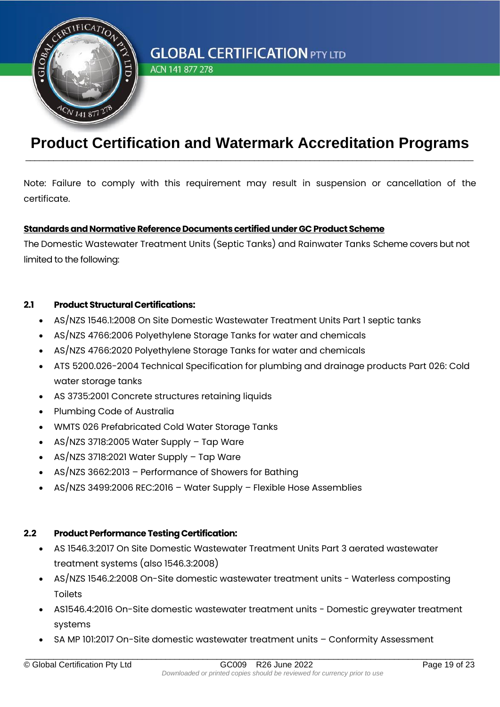

ACN 141 877 278

### **Product Certification and Watermark Accreditation Programs** \_\_\_\_\_\_\_\_\_\_\_\_\_\_\_\_\_\_\_\_\_\_\_\_\_\_\_\_\_\_\_\_\_\_\_\_\_\_\_\_\_\_\_\_\_\_\_\_\_\_\_\_\_\_\_\_\_\_\_\_\_\_\_\_\_\_\_\_\_\_\_\_\_\_\_\_\_\_\_\_\_\_\_\_\_\_\_\_\_\_\_\_\_\_\_\_

Note: Failure to comply with this requirement may result in suspension or cancellation of the certificate.

#### **Standards and Normative Reference Documents certified under GC Product Scheme**

The Domestic Wastewater Treatment Units (Septic Tanks) and Rainwater Tanks Scheme covers but not limited to the following:

#### **2.1 Product Structural Certifications:**

- AS/NZS 1546.1:2008 On Site Domestic Wastewater Treatment Units Part 1 septic tanks
- AS/NZS 4766:2006 Polyethylene Storage Tanks for water and chemicals
- AS/NZS 4766:2020 Polyethylene Storage Tanks for water and chemicals
- ATS 5200.026-2004 Technical Specification for plumbing and drainage products Part 026: Cold water storage tanks
- AS 3735:2001 Concrete structures retaining liquids
- Plumbing Code of Australia
- WMTS 026 Prefabricated Cold Water Storage Tanks
- AS/NZS 3718:2005 Water Supply Tap Ware
- AS/NZS 3718:2021 Water Supply Tap Ware
- AS/NZS 3662:2013 Performance of Showers for Bathing
- AS/NZS 3499:2006 REC:2016 Water Supply Flexible Hose Assemblies

#### **2.2 Product Performance Testing Certification:**

- AS 1546.3:2017 On Site Domestic Wastewater Treatment Units Part 3 aerated wastewater treatment systems (also 1546.3:2008)
- AS/NZS 1546.2:2008 On-Site domestic wastewater treatment units Waterless composting Toilets
- AS1546.4:2016 On-Site domestic wastewater treatment units Domestic greywater treatment systems
- SA MP 101:2017 On-Site domestic wastewater treatment units Conformity Assessment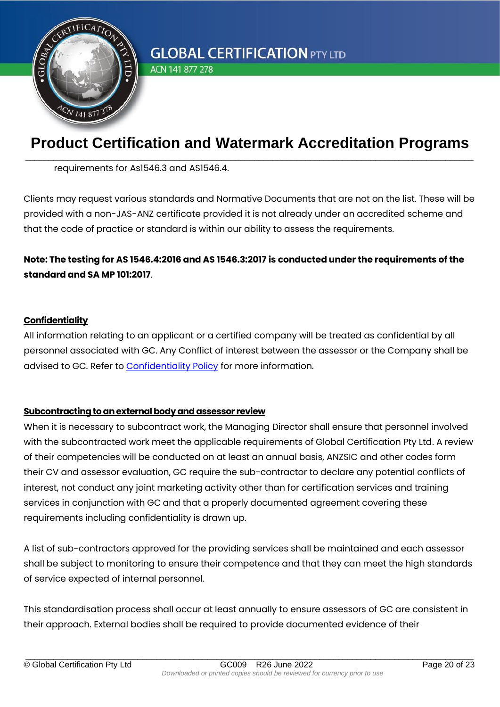

ACN 141 877 278

## **Product Certification and Watermark Accreditation Programs** \_\_\_\_\_\_\_\_\_\_\_\_\_\_\_\_\_\_\_\_\_\_\_\_\_\_\_\_\_\_\_\_\_\_\_\_\_\_\_\_\_\_\_\_\_\_\_\_\_\_\_\_\_\_\_\_\_\_\_\_\_\_\_\_\_\_\_\_\_\_\_\_\_\_\_\_\_\_\_\_\_\_\_\_\_\_\_\_\_\_\_\_\_\_\_\_

requirements for As1546.3 and AS1546.4.

Clients may request various standards and Normative Documents that are not on the list. These will be provided with a non-JAS-ANZ certificate provided it is not already under an accredited scheme and that the code of practice or standard is within our ability to assess the requirements.

### **Note: The testing for AS 1546.4:2016 and AS 1546.3:2017 is conducted under the requirements of the standard and SA MP 101:2017**.

#### **Confidentiality**

All information relating to an applicant or a certified company will be treated as confidential by all personnel associated with GC. Any Conflict of interest between the assessor or the Company shall be advised to GC. Refer to [Confidentiality Policy](https://cas.com.au/policies-and-values/) for more information.

#### **Subcontracting to an external body and assessor review**

When it is necessary to subcontract work, the Managing Director shall ensure that personnel involved with the subcontracted work meet the applicable requirements of Global Certification Pty Ltd. A review of their competencies will be conducted on at least an annual basis, ANZSIC and other codes form their CV and assessor evaluation, GC require the sub-contractor to declare any potential conflicts of interest, not conduct any joint marketing activity other than for certification services and training services in conjunction with GC and that a properly documented agreement covering these requirements including confidentiality is drawn up.

A list of sub-contractors approved for the providing services shall be maintained and each assessor shall be subject to monitoring to ensure their competence and that they can meet the high standards of service expected of internal personnel.

This standardisation process shall occur at least annually to ensure assessors of GC are consistent in their approach. External bodies shall be required to provide documented evidence of their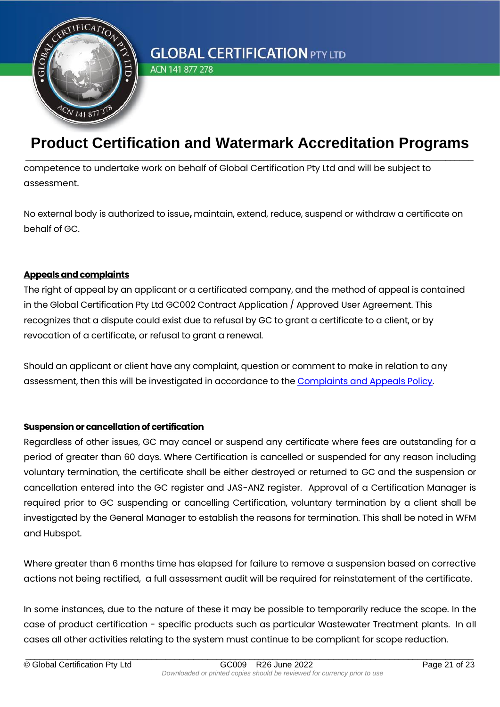

ACN 141 877 278

## **Product Certification and Watermark Accreditation Programs** \_\_\_\_\_\_\_\_\_\_\_\_\_\_\_\_\_\_\_\_\_\_\_\_\_\_\_\_\_\_\_\_\_\_\_\_\_\_\_\_\_\_\_\_\_\_\_\_\_\_\_\_\_\_\_\_\_\_\_\_\_\_\_\_\_\_\_\_\_\_\_\_\_\_\_\_\_\_\_\_\_\_\_\_\_\_\_\_\_\_\_\_\_\_\_\_

competence to undertake work on behalf of Global Certification Pty Ltd and will be subject to assessment.

No external body is authorized to issue**,** maintain, extend, reduce, suspend or withdraw a certificate on behalf of GC.

#### **Appeals and complaints**

The right of appeal by an applicant or a certificated company, and the method of appeal is contained in the Global Certification Pty Ltd GC002 Contract Application / Approved User Agreement. This recognizes that a dispute could exist due to refusal by GC to grant a certificate to a client, or by revocation of a certificate, or refusal to grant a renewal.

Should an applicant or client have any complaint, question or comment to make in relation to any assessment, then this will be investigated in accordance to the [Complaints and Appeals Policy.](https://globalcertification.com.au/wp-content/uploads/2022/06/GC012-Complaints-and-Appeals-Policy.pdf)

#### **Suspension or cancellation of certification**

Regardless of other issues, GC may cancel or suspend any certificate where fees are outstanding for a period of greater than 60 days. Where Certification is cancelled or suspended for any reason including voluntary termination, the certificate shall be either destroyed or returned to GC and the suspension or cancellation entered into the GC register and JAS-ANZ register. Approval of a Certification Manager is required prior to GC suspending or cancelling Certification, voluntary termination by a client shall be investigated by the General Manager to establish the reasons for termination. This shall be noted in WFM and Hubspot.

Where greater than 6 months time has elapsed for failure to remove a suspension based on corrective actions not being rectified, a full assessment audit will be required for reinstatement of the certificate.

In some instances, due to the nature of these it may be possible to temporarily reduce the scope. In the case of product certification - specific products such as particular Wastewater Treatment plants. In all cases all other activities relating to the system must continue to be compliant for scope reduction.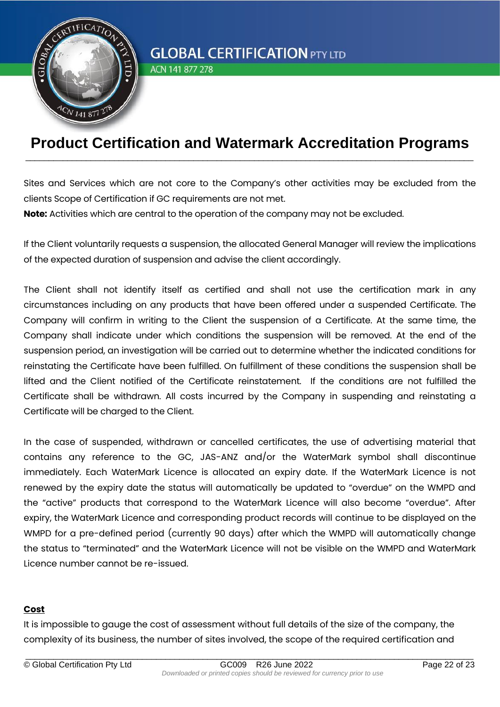

ACN 141 877 278

### **Product Certification and Watermark Accreditation Programs** \_\_\_\_\_\_\_\_\_\_\_\_\_\_\_\_\_\_\_\_\_\_\_\_\_\_\_\_\_\_\_\_\_\_\_\_\_\_\_\_\_\_\_\_\_\_\_\_\_\_\_\_\_\_\_\_\_\_\_\_\_\_\_\_\_\_\_\_\_\_\_\_\_\_\_\_\_\_\_\_\_\_\_\_\_\_\_\_\_\_\_\_\_\_\_\_

Sites and Services which are not core to the Company's other activities may be excluded from the clients Scope of Certification if GC requirements are not met.

**Note:** Activities which are central to the operation of the company may not be excluded.

If the Client voluntarily requests a suspension, the allocated General Manager will review the implications of the expected duration of suspension and advise the client accordingly.

The Client shall not identify itself as certified and shall not use the certification mark in any circumstances including on any products that have been offered under a suspended Certificate. The Company will confirm in writing to the Client the suspension of a Certificate. At the same time, the Company shall indicate under which conditions the suspension will be removed. At the end of the suspension period, an investigation will be carried out to determine whether the indicated conditions for reinstating the Certificate have been fulfilled. On fulfillment of these conditions the suspension shall be lifted and the Client notified of the Certificate reinstatement. If the conditions are not fulfilled the Certificate shall be withdrawn. All costs incurred by the Company in suspending and reinstating a Certificate will be charged to the Client.

In the case of suspended, withdrawn or cancelled certificates, the use of advertising material that contains any reference to the GC, JAS-ANZ and/or the WaterMark symbol shall discontinue immediately. Each WaterMark Licence is allocated an expiry date. If the WaterMark Licence is not renewed by the expiry date the status will automatically be updated to "overdue" on the WMPD and the "active" products that correspond to the WaterMark Licence will also become "overdue". After expiry, the WaterMark Licence and corresponding product records will continue to be displayed on the WMPD for a pre-defined period (currently 90 days) after which the WMPD will automatically change the status to "terminated" and the WaterMark Licence will not be visible on the WMPD and WaterMark Licence number cannot be re-issued.

#### **Cost**

It is impossible to gauge the cost of assessment without full details of the size of the company, the complexity of its business, the number of sites involved, the scope of the required certification and